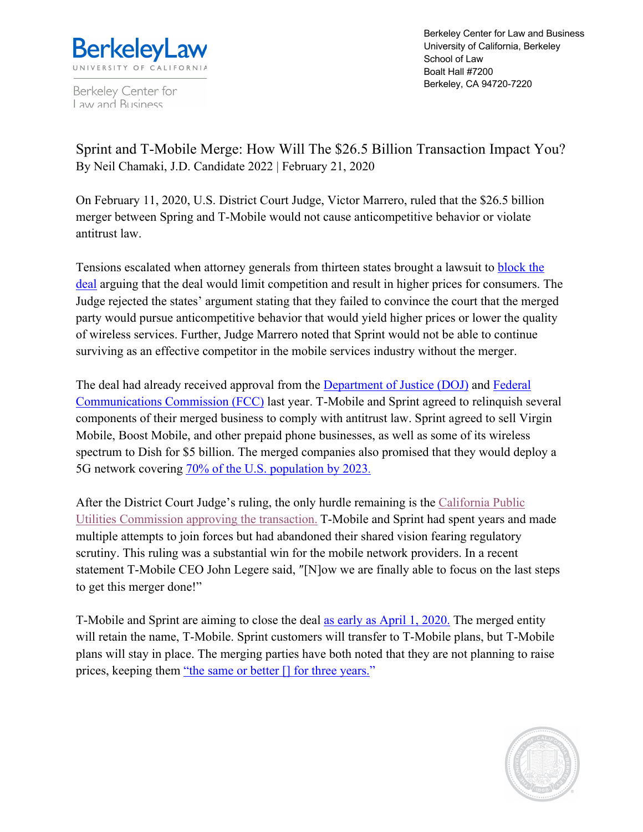

Berkeley Center for Law and Business

Berkeley Center for Law and Business University of California, Berkeley School of Law Boalt Hall #7200 Berkeley, CA 94720-7220

Sprint and T-Mobile Merge: How Will The \$26.5 Billion Transaction Impact You? By Neil Chamaki, J.D. Candidate 2022 | February 21, 2020

On February 11, 2020, U.S. District Court Judge, Victor Marrero, ruled that the \$26.5 billion merger between Spring and T-Mobile would not cause anticompetitive behavior or violate antitrust law.

Tensions escalated when attorney generals from thirteen states brought a lawsuit to block the deal arguing that the deal would limit competition and result in higher prices for consumers. The Judge rejected the states' argument stating that they failed to convince the court that the merged party would pursue anticompetitive behavior that would yield higher prices or lower the quality of wireless services. Further, Judge Marrero noted that Sprint would not be able to continue surviving as an effective competitor in the mobile services industry without the merger.

The deal had already received approval from the **Department of Justice (DOJ)** and **Federal** Communications Commission (FCC) last year. T-Mobile and Sprint agreed to relinquish several components of their merged business to comply with antitrust law. Sprint agreed to sell Virgin Mobile, Boost Mobile, and other prepaid phone businesses, as well as some of its wireless spectrum to Dish for \$5 billion. The merged companies also promised that they would deploy a 5G network covering 70% of the U.S. population by 2023.

After the District Court Judge's ruling, the only hurdle remaining is the California Public Utilities Commission approving the transaction. T-Mobile and Sprint had spent years and made multiple attempts to join forces but had abandoned their shared vision fearing regulatory scrutiny. This ruling was a substantial win for the mobile network providers. In a recent statement T-Mobile CEO John Legere said, ″[N]ow we are finally able to focus on the last steps to get this merger done!"

T-Mobile and Sprint are aiming to close the deal as early as April 1, 2020. The merged entity will retain the name, T-Mobile. Sprint customers will transfer to T-Mobile plans, but T-Mobile plans will stay in place. The merging parties have both noted that they are not planning to raise prices, keeping them "the same or better [] for three years."